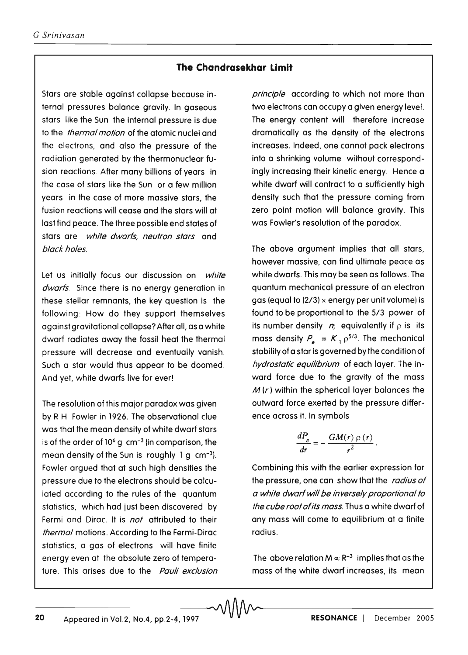## **The Chandrasekhar Limit**

-20---------------------------------~~--------------------------------

Stars are stable against collapse because internal pressures balance gravity. In gaseous stars like the Sun the internal pressure is due to the *thermal motion* of the atomic nuclei and the electrons, and also the pressure of the radiation generated by the thermonuclear fusion reactions. After many billions of years in the case of stars like the Sun or a few million years in the case of more massive stars, the fusion reactions will cease and the stars will at last find peace. The three possible end states of stars are white dwarfs, neutron stars and black holes.

Let us initially focus our discussion on white dwarfs. Since there is no energy generation in these stellar remnants, the key question is the following: How do they support themselves against gravitational collapse? After all, as a white dwarf radiates away the fossil heat the thermal pressure will decrease and eventually vanish. Such a star would thus appear to be doomed. And yet, white dwarfs live for ever!

The resolution of this major paradox was given by R H Fowler in 1926. The observational clue was that the mean density of white dwarf stars is of the order of  $10^6$  g cm<sup>-3</sup> (in comparison, the mean density of the Sun is roughly  $1 g cm^{-3}$ ). Fowler argued that at such high densities the pressure due to the electrons should be calculated according to the rules of the quantum statistics, which had just been discovered by Fermi and Dirac. It is *not* attributed to their thermal motions. According to the Fermi-Dirac statistics, a gas of electrons will have finite energy even at the absolute zero of temperature. This arises due to the Pauli exclusion principle according to which not more than two electrons can occupy a given energy level. The energy content will therefore increase dramatically as the density of the electrons increases. Indeed, one cannot pack electrons into a shrinking volume without correspondingly increasing their kinetic energy. Hence a white dwarf will contract to a sufficiently high density such that the pressure coming from zero point motion will balance gravity. This was Fowler's resolution of the paradox.

The above argument implies that all stars, however massive, can find ultimate peace as white dwarfs. This may be seen as follows. The quantum mechanical pressure of an electron gas (equal to  $(2/3)$  x energy per unit volume) is found to be proportional to the 5/3 power of its number density  $n$ , equivalently if  $p$  is its mass density  $P_a = K_1 \rho^{5/3}$ . The mechanical stability of a star is governed by the condition of hydrostatic equilibrium of each layer. The inward force due to the gravity of the mass  $M(r)$  within the spherical layer balances the outward force exerted by the pressure difference across it. In symbols

$$
\frac{dP_e}{dr} = -\frac{GM(r)\rho(r)}{r^2}.
$$

Combining this with the earlier expression for the pressure, one can show that the radius of a white dwarf will be inversely proportional to the cube root of its mass. Thus a white dwarf of any mass will come to equilibrium at a finite radius.

The above relation  $M \propto R^{-3}$  implies that as the mass of the white dwarf increases, its mean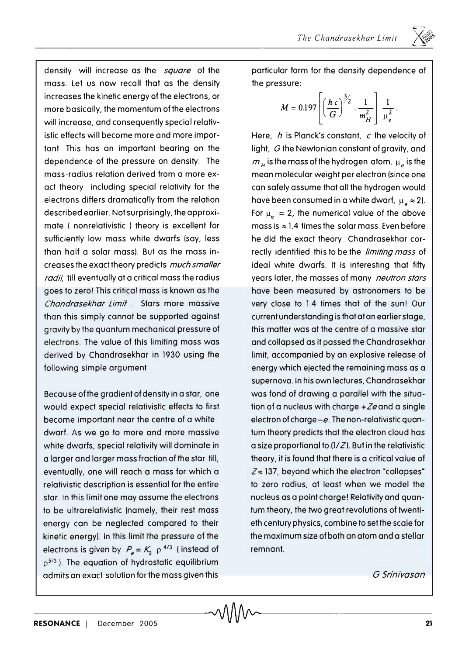density will increase as the *square* of the mass. Let us now recall that as the density increases the kinetic energy of the electrons, or more basically, the momentum of the electrons will increase, and consequently special relativistic effects will become more and more important. This has an important bearing on the dependence of the pressure on density. The mass-radius relation derived from a more exact theory including special relativity for the electrons differs dramatically from the relation described earlier. Not surprisingly, the approximate ( nonrelativistic ) theory is excellent for sufficiently low mass white dwarfs (say, less than half a solar massl. But as the mass increases the exact theory predicts *much smaller radii,* till eventually at a critical mass the radius goes to zero! This critical mass is known as the *Chandrasekhar Limit.* Stars more massive than this simply cannot be supported against gravity by the quantum mechanical pressure of electrons. The value of this limiting mass was derived by Chandrasekhar in 1930 using the following simple argument.

Because of the gradient of density in a star, one would expect special relativistic effects to first become important near the centre of a white dwarf. As we go to more and more massive white dwarfs, special relativity will dominate in a larger and larger mass fraction of the star till, eventually, one will reach a mass for which a relativistic description is essential for the entire star. In this limit one may assume the electrons to be ultrarelativistic (namely, their rest mass energy can be neglected compared to their kinetic energy). In this limit the pressure of the electrons is given by  $P_e = K_2 \rho^{4/3}$  (instead of  $p^{5/3}$ ). The equation of hydrostatic equilibrium admits an exact solution for the mass given this

particular form for the density dependence of the pressure:

$$
M = 0.197 \left[ \left( \frac{h c}{G} \right)^{3/2} \cdot \frac{1}{m_H^2} \right] \frac{1}{\mu_e^2}.
$$

Here, *h* is Planck's constant, *c* the velocity of light, G the Newtonian constant of gravity, and  $m_{\mu}$  is the mass of the hydrogen atom.  $\mu_e$  is the mean molecular weight per electron (since one can safely assume that all the hydrogen would have been consumed in a white dwarf,  $\mu_a \approx 2$ ). For  $\mu_{\alpha} = 2$ , the numerical value of the above mass is  $\approx$  1.4 times the solar mass. Even before he did the exact theory Chandrasekhar correctly identified this to be the *limiting mass* of ideal white dwarfs. It is interesting that fifty years later, the masses of many *neutron stars*  have been measured by astronomers to be very close to 1.4 times that of the sun! Our current understanding is that at an earlier stage, this matter was at the centre of a massive star and collapsed as it passed the Chandrasekhar limit, accompanied by an explosive release of energy which ejected the remaining mass as a supernova. In his own lectures, Chandrasekhar was fond of drawing a parallel with the situation of a nucleus with charge  $+Ze$  and a single electron of charge *-e.* The non-relativistic quantum theory predicts that the electron cloud has a size proportional to  $(1/Z)$ . But in the relativistic theory, it is found that there is a critical value of  $Z \approx 137$ , beyond which the electron "collapses" to zero radius, at least when we model the nucleus as a point charge! Relativity and quantum theory, the two great revolutions of twentieth century physics, combine to set the scale for the maximum size of both an atom and a stellar remnant.

G Srinivasan